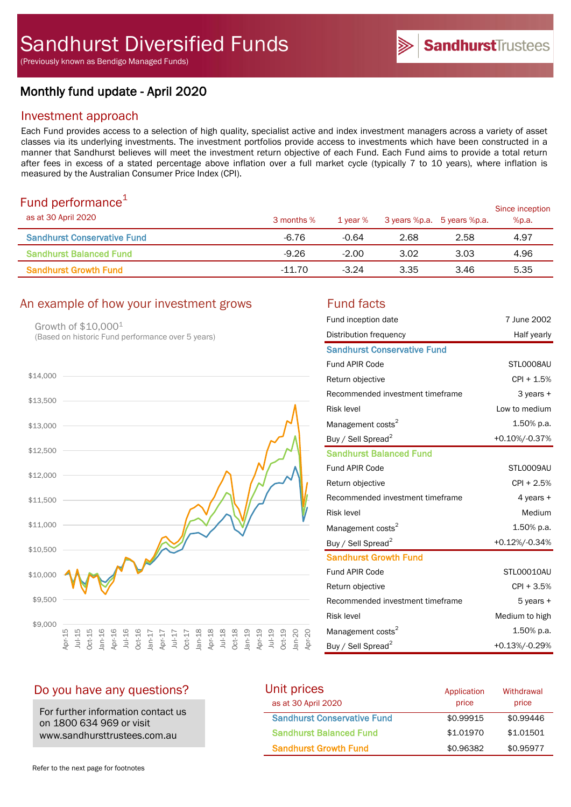(Previously known as Bendigo Managed Funds)

# Monthly fund update - April 2020

## Investment approach

Each Fund provides access to a selection of high quality, specialist active and index investment managers across a variety of asset classes via its underlying investments. The investment portfolios provide access to investments which have been constructed in a manner that Sandhurst believes will meet the investment return objective of each Fund. Each Fund aims to provide a total return after fees in excess of a stated percentage above inflation over a full market cycle (typically 7 to 10 years), where inflation is measured by the Australian Consumer Price Index (CPI).

# Fund performance $1$

| <u>. and pononnanoo</u><br>as at 30 April 2020 | 3 months % | 1 vear % | 3 years %p.a. 5 years %p.a. |      | Since inception<br>%p.a. |
|------------------------------------------------|------------|----------|-----------------------------|------|--------------------------|
| <b>Sandhurst Conservative Fund</b>             | $-6.76$    | $-0.64$  | 2.68                        | 2.58 | 4.97                     |
| <b>Sandhurst Balanced Fund</b>                 | $-9.26$    | $-2.00$  | 3.02                        | 3.03 | 4.96                     |
| <b>Sandhurst Growth Fund</b>                   | $-11.70$   | $-3.24$  | 3.35                        | 3.46 | 5.35                     |

# An example of how your investment grows Fund facts

Growth of \$10,000<sup>1</sup> (Based on historic Fund performance over 5 years)



| Fund inception date                | 7 June 2002    |
|------------------------------------|----------------|
| Distribution frequency             | Half yearly    |
| <b>Sandhurst Conservative Fund</b> |                |
| <b>Fund APIR Code</b>              | STL0008AU      |
| Return objective                   | CPI + 1.5%     |
| Recommended investment timeframe   | 3 years +      |
| <b>Risk level</b>                  | Low to medium  |
| Management costs <sup>2</sup>      | 1.50% p.a.     |
| Buy / Sell Spread <sup>2</sup>     | +0.10%/-0.37%  |
| <b>Sandhurst Balanced Fund</b>     |                |
| <b>Fund APIR Code</b>              | STL0009AU      |
| Return objective                   | $CPI + 2.5%$   |
| Recommended investment timeframe   | 4 years +      |
| <b>Risk level</b>                  | Medium         |
| Management costs <sup>2</sup>      | 1.50% p.a.     |
| Buy / Sell Spread <sup>2</sup>     | +0.12%/-0.34%  |
| <b>Sandhurst Growth Fund</b>       |                |
| <b>Fund APIR Code</b>              | STL00010AU     |
| Return objective                   | CPI + 3.5%     |
| Recommended investment timeframe   | 5 years +      |
| <b>Risk level</b>                  | Medium to high |
| Management costs <sup>2</sup>      | 1.50% p.a.     |
| Buy / Sell Spread <sup>2</sup>     | +0.13%/-0.29%  |

# Do you have any questions?

For further information contact us on 1800 634 969 or visit www.sandhursttrustees.com.au

| Unit prices                        | Application | Withdrawal |
|------------------------------------|-------------|------------|
| as at 30 April 2020                | price       | price      |
| <b>Sandhurst Conservative Fund</b> | \$0.99915   | \$0.99446  |
| <b>Sandhurst Balanced Fund</b>     | \$1,01970   | \$1,01501  |
| <b>Sandhurst Growth Fund</b>       | \$0.96382   | \$0.95977  |